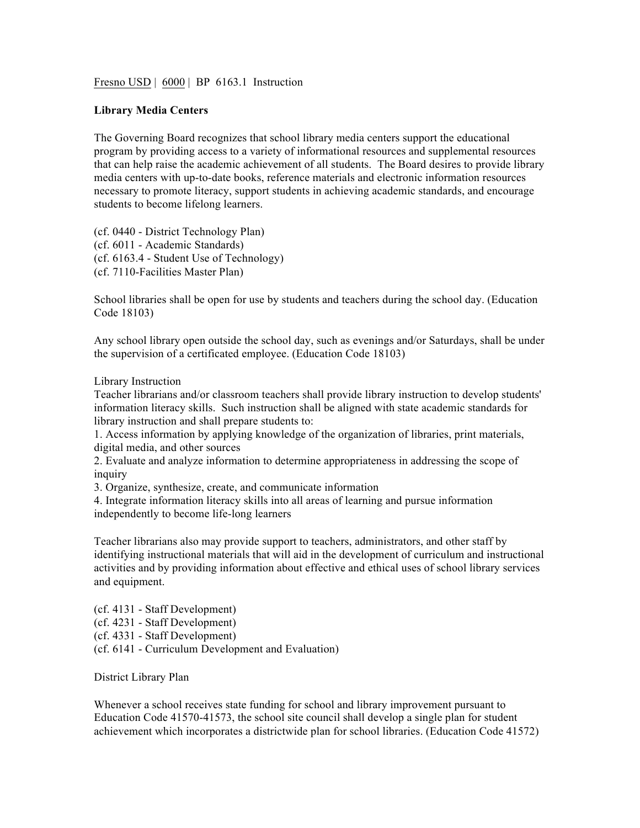Fresno USD | 6000 | BP 6163.1 Instruction

## **Library Media Centers**

The Governing Board recognizes that school library media centers support the educational program by providing access to a variety of informational resources and supplemental resources that can help raise the academic achievement of all students. The Board desires to provide library media centers with up-to-date books, reference materials and electronic information resources necessary to promote literacy, support students in achieving academic standards, and encourage students to become lifelong learners.

(cf. 0440 - District Technology Plan) (cf. 6011 - Academic Standards) (cf. 6163.4 - Student Use of Technology) (cf. 7110-Facilities Master Plan)

School libraries shall be open for use by students and teachers during the school day. (Education Code 18103)

Any school library open outside the school day, such as evenings and/or Saturdays, shall be under the supervision of a certificated employee. (Education Code 18103)

Library Instruction

Teacher librarians and/or classroom teachers shall provide library instruction to develop students' information literacy skills. Such instruction shall be aligned with state academic standards for library instruction and shall prepare students to:

1. Access information by applying knowledge of the organization of libraries, print materials, digital media, and other sources

2. Evaluate and analyze information to determine appropriateness in addressing the scope of inquiry

3. Organize, synthesize, create, and communicate information

4. Integrate information literacy skills into all areas of learning and pursue information independently to become life-long learners

Teacher librarians also may provide support to teachers, administrators, and other staff by identifying instructional materials that will aid in the development of curriculum and instructional activities and by providing information about effective and ethical uses of school library services and equipment.

(cf. 4131 - Staff Development)

(cf. 4231 - Staff Development)

(cf. 4331 - Staff Development)

(cf. 6141 - Curriculum Development and Evaluation)

District Library Plan

Whenever a school receives state funding for school and library improvement pursuant to Education Code 41570-41573, the school site council shall develop a single plan for student achievement which incorporates a districtwide plan for school libraries. (Education Code 41572)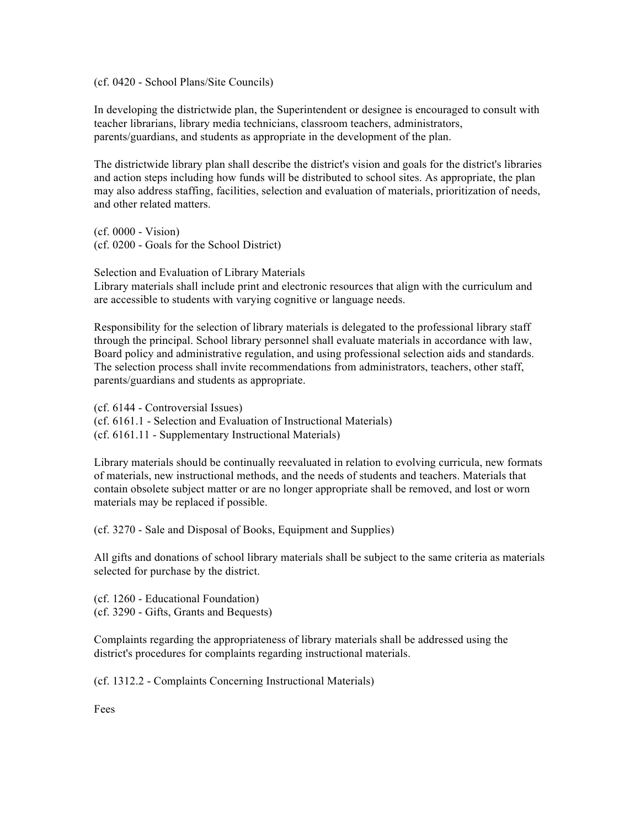(cf. 0420 - School Plans/Site Councils)

In developing the districtwide plan, the Superintendent or designee is encouraged to consult with teacher librarians, library media technicians, classroom teachers, administrators, parents/guardians, and students as appropriate in the development of the plan.

The districtwide library plan shall describe the district's vision and goals for the district's libraries and action steps including how funds will be distributed to school sites. As appropriate, the plan may also address staffing, facilities, selection and evaluation of materials, prioritization of needs, and other related matters.

(cf. 0000 - Vision) (cf. 0200 - Goals for the School District)

Selection and Evaluation of Library Materials Library materials shall include print and electronic resources that align with the curriculum and are accessible to students with varying cognitive or language needs.

Responsibility for the selection of library materials is delegated to the professional library staff through the principal. School library personnel shall evaluate materials in accordance with law, Board policy and administrative regulation, and using professional selection aids and standards. The selection process shall invite recommendations from administrators, teachers, other staff, parents/guardians and students as appropriate.

(cf. 6144 - Controversial Issues) (cf. 6161.1 - Selection and Evaluation of Instructional Materials) (cf. 6161.11 - Supplementary Instructional Materials)

Library materials should be continually reevaluated in relation to evolving curricula, new formats of materials, new instructional methods, and the needs of students and teachers. Materials that contain obsolete subject matter or are no longer appropriate shall be removed, and lost or worn materials may be replaced if possible.

(cf. 3270 - Sale and Disposal of Books, Equipment and Supplies)

All gifts and donations of school library materials shall be subject to the same criteria as materials selected for purchase by the district.

(cf. 1260 - Educational Foundation) (cf. 3290 - Gifts, Grants and Bequests)

Complaints regarding the appropriateness of library materials shall be addressed using the district's procedures for complaints regarding instructional materials.

(cf. 1312.2 - Complaints Concerning Instructional Materials)

Fees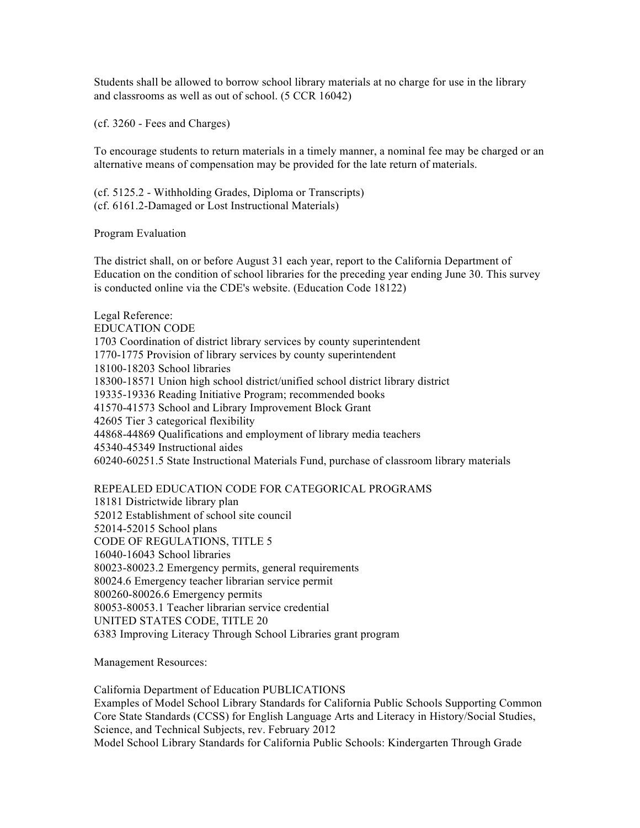Students shall be allowed to borrow school library materials at no charge for use in the library and classrooms as well as out of school. (5 CCR 16042)

(cf. 3260 - Fees and Charges)

To encourage students to return materials in a timely manner, a nominal fee may be charged or an alternative means of compensation may be provided for the late return of materials.

(cf. 5125.2 - Withholding Grades, Diploma or Transcripts) (cf. 6161.2-Damaged or Lost Instructional Materials)

Program Evaluation

The district shall, on or before August 31 each year, report to the California Department of Education on the condition of school libraries for the preceding year ending June 30. This survey is conducted online via the CDE's website. (Education Code 18122)

Legal Reference: EDUCATION CODE 1703 Coordination of district library services by county superintendent 1770-1775 Provision of library services by county superintendent 18100-18203 School libraries 18300-18571 Union high school district/unified school district library district 19335-19336 Reading Initiative Program; recommended books 41570-41573 School and Library Improvement Block Grant 42605 Tier 3 categorical flexibility 44868-44869 Qualifications and employment of library media teachers 45340-45349 Instructional aides 60240-60251.5 State Instructional Materials Fund, purchase of classroom library materials

REPEALED EDUCATION CODE FOR CATEGORICAL PROGRAMS 18181 Districtwide library plan 52012 Establishment of school site council 52014-52015 School plans CODE OF REGULATIONS, TITLE 5 16040-16043 School libraries 80023-80023.2 Emergency permits, general requirements 80024.6 Emergency teacher librarian service permit 800260-80026.6 Emergency permits 80053-80053.1 Teacher librarian service credential UNITED STATES CODE, TITLE 20 6383 Improving Literacy Through School Libraries grant program

Management Resources:

California Department of Education PUBLICATIONS Examples of Model School Library Standards for California Public Schools Supporting Common Core State Standards (CCSS) for English Language Arts and Literacy in History/Social Studies, Science, and Technical Subjects, rev. February 2012 Model School Library Standards for California Public Schools: Kindergarten Through Grade